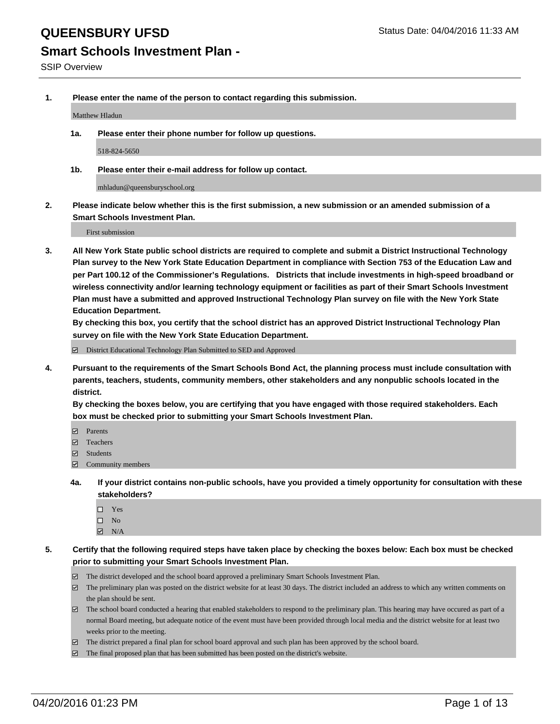# **Smart Schools Investment Plan -**

**1. Please enter the name of the person to contact regarding this submission.**

Matthew Hladun

**1a. Please enter their phone number for follow up questions.**

518-824-5650

**1b. Please enter their e-mail address for follow up contact.**

mhladun@queensburyschool.org

**2. Please indicate below whether this is the first submission, a new submission or an amended submission of a Smart Schools Investment Plan.**

First submission

**3. All New York State public school districts are required to complete and submit a District Instructional Technology Plan survey to the New York State Education Department in compliance with Section 753 of the Education Law and per Part 100.12 of the Commissioner's Regulations. Districts that include investments in high-speed broadband or wireless connectivity and/or learning technology equipment or facilities as part of their Smart Schools Investment Plan must have a submitted and approved Instructional Technology Plan survey on file with the New York State Education Department.** 

**By checking this box, you certify that the school district has an approved District Instructional Technology Plan survey on file with the New York State Education Department.**

■ District Educational Technology Plan Submitted to SED and Approved

**4. Pursuant to the requirements of the Smart Schools Bond Act, the planning process must include consultation with parents, teachers, students, community members, other stakeholders and any nonpublic schools located in the district.** 

**By checking the boxes below, you are certifying that you have engaged with those required stakeholders. Each box must be checked prior to submitting your Smart Schools Investment Plan.**

- **Parents**
- □ Teachers
- Students
- $\boxdot$  Community members
- **4a. If your district contains non-public schools, have you provided a timely opportunity for consultation with these stakeholders?**
	- □ Yes
	- $\square$  No
	- $\boxtimes$  N/A
- **5. Certify that the following required steps have taken place by checking the boxes below: Each box must be checked prior to submitting your Smart Schools Investment Plan.**
	- The district developed and the school board approved a preliminary Smart Schools Investment Plan.
	- The preliminary plan was posted on the district website for at least 30 days. The district included an address to which any written comments on the plan should be sent.
	- $\Box$  The school board conducted a hearing that enabled stakeholders to respond to the preliminary plan. This hearing may have occured as part of a normal Board meeting, but adequate notice of the event must have been provided through local media and the district website for at least two weeks prior to the meeting.
	- The district prepared a final plan for school board approval and such plan has been approved by the school board.
	- The final proposed plan that has been submitted has been posted on the district's website.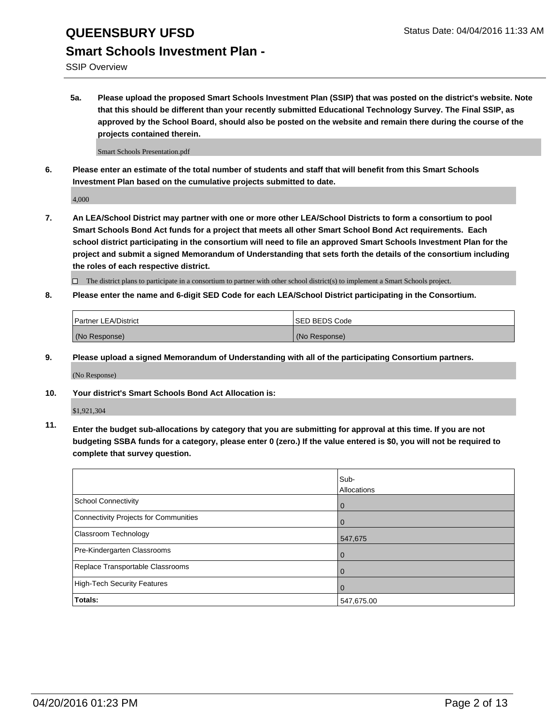SSIP Overview

**5a. Please upload the proposed Smart Schools Investment Plan (SSIP) that was posted on the district's website. Note that this should be different than your recently submitted Educational Technology Survey. The Final SSIP, as approved by the School Board, should also be posted on the website and remain there during the course of the projects contained therein.**

Smart Schools Presentation.pdf

**6. Please enter an estimate of the total number of students and staff that will benefit from this Smart Schools Investment Plan based on the cumulative projects submitted to date.**

4,000

**7. An LEA/School District may partner with one or more other LEA/School Districts to form a consortium to pool Smart Schools Bond Act funds for a project that meets all other Smart School Bond Act requirements. Each school district participating in the consortium will need to file an approved Smart Schools Investment Plan for the project and submit a signed Memorandum of Understanding that sets forth the details of the consortium including the roles of each respective district.**

 $\Box$  The district plans to participate in a consortium to partner with other school district(s) to implement a Smart Schools project.

**8. Please enter the name and 6-digit SED Code for each LEA/School District participating in the Consortium.**

| Partner LEA/District | <b>ISED BEDS Code</b> |
|----------------------|-----------------------|
| (No Response)        | (No Response)         |

**9. Please upload a signed Memorandum of Understanding with all of the participating Consortium partners.**

(No Response)

**10. Your district's Smart Schools Bond Act Allocation is:**

\$1,921,304

**11. Enter the budget sub-allocations by category that you are submitting for approval at this time. If you are not budgeting SSBA funds for a category, please enter 0 (zero.) If the value entered is \$0, you will not be required to complete that survey question.**

|                                       | Sub-<br>Allocations |
|---------------------------------------|---------------------|
| <b>School Connectivity</b>            | 0                   |
| Connectivity Projects for Communities |                     |
| <b>Classroom Technology</b>           | 547,675             |
| Pre-Kindergarten Classrooms           | $\Omega$            |
| Replace Transportable Classrooms      | 0                   |
| High-Tech Security Features           | $\Omega$            |
| <b>Totals:</b>                        | 547,675.00          |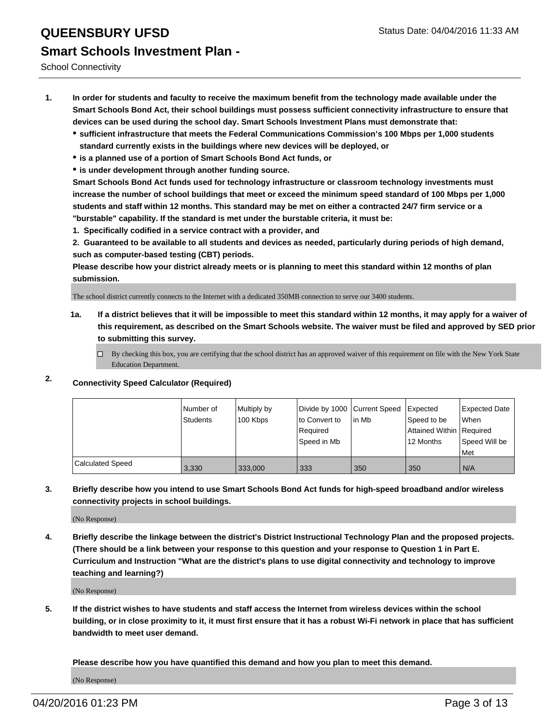School Connectivity

- **1. In order for students and faculty to receive the maximum benefit from the technology made available under the Smart Schools Bond Act, their school buildings must possess sufficient connectivity infrastructure to ensure that devices can be used during the school day. Smart Schools Investment Plans must demonstrate that:**
	- **sufficient infrastructure that meets the Federal Communications Commission's 100 Mbps per 1,000 students standard currently exists in the buildings where new devices will be deployed, or**
	- **is a planned use of a portion of Smart Schools Bond Act funds, or**
	- **is under development through another funding source.**

**Smart Schools Bond Act funds used for technology infrastructure or classroom technology investments must increase the number of school buildings that meet or exceed the minimum speed standard of 100 Mbps per 1,000 students and staff within 12 months. This standard may be met on either a contracted 24/7 firm service or a "burstable" capability. If the standard is met under the burstable criteria, it must be:**

**1. Specifically codified in a service contract with a provider, and**

**2. Guaranteed to be available to all students and devices as needed, particularly during periods of high demand, such as computer-based testing (CBT) periods.**

**Please describe how your district already meets or is planning to meet this standard within 12 months of plan submission.**

The school district currently connects to the Internet with a dedicated 350MB connection to serve our 3400 students.

- **1a. If a district believes that it will be impossible to meet this standard within 12 months, it may apply for a waiver of this requirement, as described on the Smart Schools website. The waiver must be filed and approved by SED prior to submitting this survey.**
	- □ By checking this box, you are certifying that the school district has an approved waiver of this requirement on file with the New York State Education Department.
- **2. Connectivity Speed Calculator (Required)**

|                         | Number of<br>Students | Multiply by<br>100 Kbps | lto Convert to<br>Reauired<br>Speed in Mb | Divide by 1000 Current Speed Expected<br>lin Mb | Speed to be<br>Attained Within Required<br>12 Months | Expected Date<br>When<br>Speed Will be<br>l Met |
|-------------------------|-----------------------|-------------------------|-------------------------------------------|-------------------------------------------------|------------------------------------------------------|-------------------------------------------------|
| <b>Calculated Speed</b> | 3,330                 | 333,000                 | 333                                       | 350                                             | 350                                                  | N/A                                             |

**3. Briefly describe how you intend to use Smart Schools Bond Act funds for high-speed broadband and/or wireless connectivity projects in school buildings.**

(No Response)

**4. Briefly describe the linkage between the district's District Instructional Technology Plan and the proposed projects. (There should be a link between your response to this question and your response to Question 1 in Part E. Curriculum and Instruction "What are the district's plans to use digital connectivity and technology to improve teaching and learning?)**

(No Response)

**5. If the district wishes to have students and staff access the Internet from wireless devices within the school building, or in close proximity to it, it must first ensure that it has a robust Wi-Fi network in place that has sufficient bandwidth to meet user demand.**

**Please describe how you have quantified this demand and how you plan to meet this demand.**

(No Response)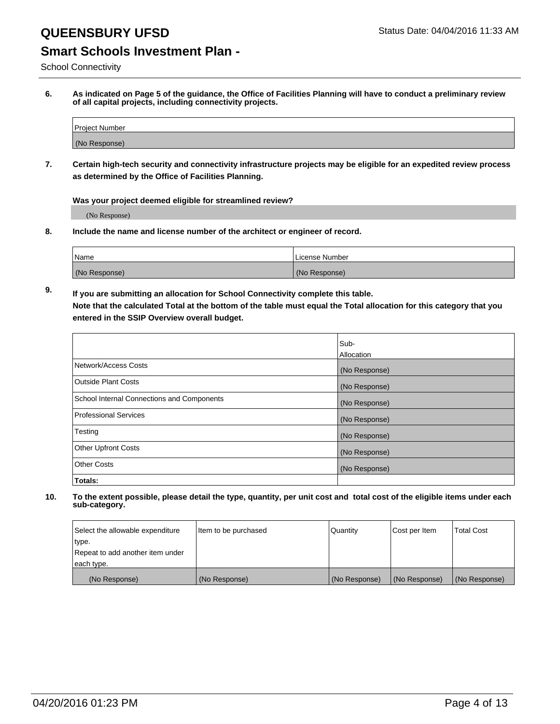## **Smart Schools Investment Plan -**

School Connectivity

**6. As indicated on Page 5 of the guidance, the Office of Facilities Planning will have to conduct a preliminary review of all capital projects, including connectivity projects.**

| <b>Project Number</b> |  |
|-----------------------|--|
| (No Response)         |  |

**7. Certain high-tech security and connectivity infrastructure projects may be eligible for an expedited review process as determined by the Office of Facilities Planning.**

### **Was your project deemed eligible for streamlined review?**

(No Response)

**8. Include the name and license number of the architect or engineer of record.**

| <sup>1</sup> Name | License Number |
|-------------------|----------------|
| (No Response)     | (No Response)  |

**9. If you are submitting an allocation for School Connectivity complete this table. Note that the calculated Total at the bottom of the table must equal the Total allocation for this category that you entered in the SSIP Overview overall budget.** 

|                                            | Sub-          |
|--------------------------------------------|---------------|
|                                            | Allocation    |
| Network/Access Costs                       | (No Response) |
| <b>Outside Plant Costs</b>                 | (No Response) |
| School Internal Connections and Components | (No Response) |
| <b>Professional Services</b>               | (No Response) |
| Testing                                    | (No Response) |
| <b>Other Upfront Costs</b>                 | (No Response) |
| <b>Other Costs</b>                         | (No Response) |
| Totals:                                    |               |

| Select the allowable expenditure | Item to be purchased | Quantity      | Cost per Item | <b>Total Cost</b> |
|----------------------------------|----------------------|---------------|---------------|-------------------|
| type.                            |                      |               |               |                   |
| Repeat to add another item under |                      |               |               |                   |
| each type.                       |                      |               |               |                   |
| (No Response)                    | (No Response)        | (No Response) | (No Response) | (No Response)     |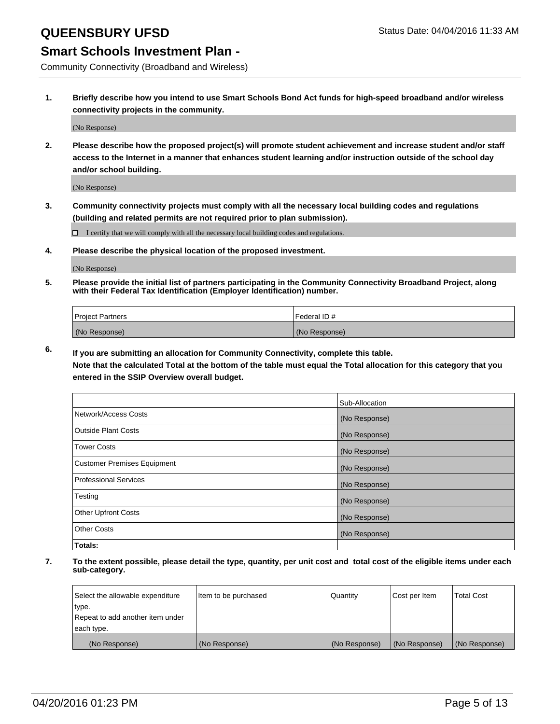### **Smart Schools Investment Plan -**

Community Connectivity (Broadband and Wireless)

**1. Briefly describe how you intend to use Smart Schools Bond Act funds for high-speed broadband and/or wireless connectivity projects in the community.**

(No Response)

**2. Please describe how the proposed project(s) will promote student achievement and increase student and/or staff access to the Internet in a manner that enhances student learning and/or instruction outside of the school day and/or school building.**

(No Response)

**3. Community connectivity projects must comply with all the necessary local building codes and regulations (building and related permits are not required prior to plan submission).**

 $\Box$  I certify that we will comply with all the necessary local building codes and regulations.

**4. Please describe the physical location of the proposed investment.**

(No Response)

**5. Please provide the initial list of partners participating in the Community Connectivity Broadband Project, along with their Federal Tax Identification (Employer Identification) number.**

| <b>Project Partners</b> | <b>IFederal ID#</b> |
|-------------------------|---------------------|
| (No Response)           | (No Response)       |

**6. If you are submitting an allocation for Community Connectivity, complete this table.**

**Note that the calculated Total at the bottom of the table must equal the Total allocation for this category that you entered in the SSIP Overview overall budget.**

|                                    | Sub-Allocation |
|------------------------------------|----------------|
| Network/Access Costs               | (No Response)  |
| Outside Plant Costs                | (No Response)  |
| <b>Tower Costs</b>                 | (No Response)  |
| <b>Customer Premises Equipment</b> | (No Response)  |
| Professional Services              | (No Response)  |
| Testing                            | (No Response)  |
| <b>Other Upfront Costs</b>         | (No Response)  |
| Other Costs                        | (No Response)  |
| Totals:                            |                |

| Select the allowable expenditure | Item to be purchased | Quantity      | Cost per Item | <b>Total Cost</b> |
|----------------------------------|----------------------|---------------|---------------|-------------------|
| type.                            |                      |               |               |                   |
| Repeat to add another item under |                      |               |               |                   |
| each type.                       |                      |               |               |                   |
| (No Response)                    | (No Response)        | (No Response) | (No Response) | (No Response)     |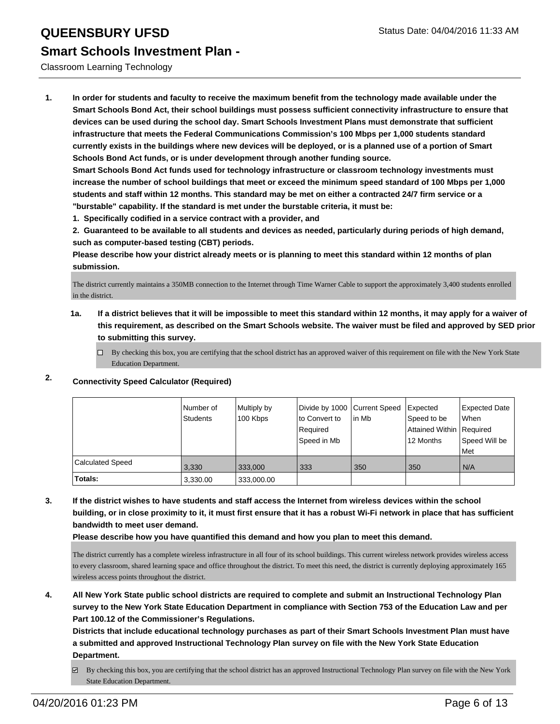### Classroom Learning Technology

**1. In order for students and faculty to receive the maximum benefit from the technology made available under the Smart Schools Bond Act, their school buildings must possess sufficient connectivity infrastructure to ensure that devices can be used during the school day. Smart Schools Investment Plans must demonstrate that sufficient infrastructure that meets the Federal Communications Commission's 100 Mbps per 1,000 students standard currently exists in the buildings where new devices will be deployed, or is a planned use of a portion of Smart Schools Bond Act funds, or is under development through another funding source.**

**Smart Schools Bond Act funds used for technology infrastructure or classroom technology investments must increase the number of school buildings that meet or exceed the minimum speed standard of 100 Mbps per 1,000 students and staff within 12 months. This standard may be met on either a contracted 24/7 firm service or a "burstable" capability. If the standard is met under the burstable criteria, it must be:**

**1. Specifically codified in a service contract with a provider, and**

**2. Guaranteed to be available to all students and devices as needed, particularly during periods of high demand, such as computer-based testing (CBT) periods.**

**Please describe how your district already meets or is planning to meet this standard within 12 months of plan submission.**

The district currently maintains a 350MB connection to the Internet through Time Warner Cable to support the approximately 3,400 students enrolled in the district.

**1a. If a district believes that it will be impossible to meet this standard within 12 months, it may apply for a waiver of this requirement, as described on the Smart Schools website. The waiver must be filed and approved by SED prior to submitting this survey.**

 $\Box$  By checking this box, you are certifying that the school district has an approved waiver of this requirement on file with the New York State Education Department.

|                         | Number of<br>Students | Multiply by<br>100 Kbps | Divide by 1000 Current Speed<br>to Convert to<br>Required<br>Speed in Mb | lin Mb | Expected<br>Speed to be<br>Attained Within Required<br>12 Months | <b>Expected Date</b><br>l When<br>Speed Will be<br>Met |
|-------------------------|-----------------------|-------------------------|--------------------------------------------------------------------------|--------|------------------------------------------------------------------|--------------------------------------------------------|
| <b>Calculated Speed</b> | 3,330                 | 333.000                 | 333                                                                      | 350    | 350                                                              | N/A                                                    |
| Totals:                 | 3,330.00              | 333,000.00              |                                                                          |        |                                                                  |                                                        |

### **2. Connectivity Speed Calculator (Required)**

**3. If the district wishes to have students and staff access the Internet from wireless devices within the school building, or in close proximity to it, it must first ensure that it has a robust Wi-Fi network in place that has sufficient bandwidth to meet user demand.**

**Please describe how you have quantified this demand and how you plan to meet this demand.**

The district currently has a complete wireless infrastructure in all four of its school buildings. This current wireless network provides wireless access to every classroom, shared learning space and office throughout the district. To meet this need, the district is currently deploying approximately 165 wireless access points throughout the district.

**4. All New York State public school districts are required to complete and submit an Instructional Technology Plan survey to the New York State Education Department in compliance with Section 753 of the Education Law and per Part 100.12 of the Commissioner's Regulations.**

**Districts that include educational technology purchases as part of their Smart Schools Investment Plan must have a submitted and approved Instructional Technology Plan survey on file with the New York State Education Department.**

By checking this box, you are certifying that the school district has an approved Instructional Technology Plan survey on file with the New York State Education Department.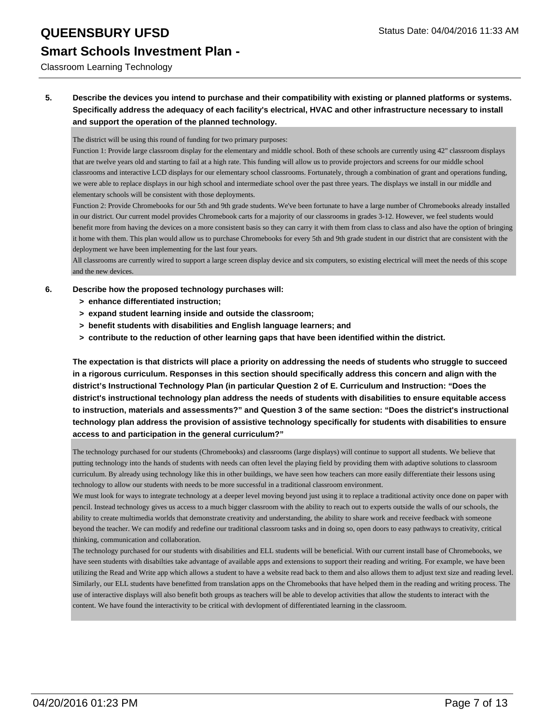### Classroom Learning Technology

### **5. Describe the devices you intend to purchase and their compatibility with existing or planned platforms or systems. Specifically address the adequacy of each facility's electrical, HVAC and other infrastructure necessary to install and support the operation of the planned technology.**

The district will be using this round of funding for two primary purposes:

Function 1: Provide large classroom display for the elementary and middle school. Both of these schools are currently using 42" classroom displays that are twelve years old and starting to fail at a high rate. This funding will allow us to provide projectors and screens for our middle school classrooms and interactive LCD displays for our elementary school classrooms. Fortunately, through a combination of grant and operations funding, we were able to replace displays in our high school and intermediate school over the past three years. The displays we install in our middle and elementary schools will be consistent with those deployments.

Function 2: Provide Chromebooks for our 5th and 9th grade students. We've been fortunate to have a large number of Chromebooks already installed in our district. Our current model provides Chromebook carts for a majority of our classrooms in grades 3-12. However, we feel students would benefit more from having the devices on a more consistent basis so they can carry it with them from class to class and also have the option of bringing it home with them. This plan would allow us to purchase Chromebooks for every 5th and 9th grade student in our district that are consistent with the deployment we have been implementing for the last four years.

All classrooms are currently wired to support a large screen display device and six computers, so existing electrical will meet the needs of this scope and the new devices.

#### **6. Describe how the proposed technology purchases will:**

- **> enhance differentiated instruction;**
- **> expand student learning inside and outside the classroom;**
- **> benefit students with disabilities and English language learners; and**
- **> contribute to the reduction of other learning gaps that have been identified within the district.**

**The expectation is that districts will place a priority on addressing the needs of students who struggle to succeed in a rigorous curriculum. Responses in this section should specifically address this concern and align with the district's Instructional Technology Plan (in particular Question 2 of E. Curriculum and Instruction: "Does the district's instructional technology plan address the needs of students with disabilities to ensure equitable access to instruction, materials and assessments?" and Question 3 of the same section: "Does the district's instructional technology plan address the provision of assistive technology specifically for students with disabilities to ensure access to and participation in the general curriculum?"**

The technology purchased for our students (Chromebooks) and classrooms (large displays) will continue to support all students. We believe that putting technology into the hands of students with needs can often level the playing field by providing them with adaptive solutions to classroom curriculum. By already using technology like this in other buildings, we have seen how teachers can more easily differentiate their lessons using technology to allow our students with needs to be more successful in a traditional classroom environment.

We must look for ways to integrate technology at a deeper level moving beyond just using it to replace a traditional activity once done on paper with pencil. Instead technology gives us access to a much bigger classroom with the ability to reach out to experts outside the walls of our schools, the ability to create multimedia worlds that demonstrate creativity and understanding, the ability to share work and receive feedback with someone beyond the teacher. We can modify and redefine our traditional classroom tasks and in doing so, open doors to easy pathways to creativity, critical thinking, communication and collaboration.

The technology purchased for our students with disabilities and ELL students will be beneficial. With our current install base of Chromebooks, we have seen students with disabilties take advantage of available apps and extensions to support their reading and writing. For example, we have been utilizing the Read and Write app which allows a student to have a website read back to them and also allows them to adjust text size and reading level. Similarly, our ELL students have benefitted from translation apps on the Chromebooks that have helped them in the reading and writing process. The use of interactive displays will also benefit both groups as teachers will be able to develop activities that allow the students to interact with the content. We have found the interactivity to be critical with devlopment of differentiated learning in the classroom.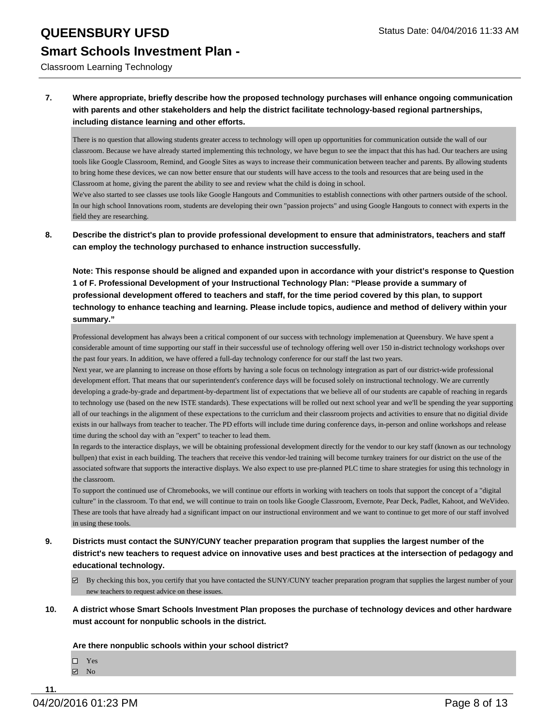Classroom Learning Technology

### **7. Where appropriate, briefly describe how the proposed technology purchases will enhance ongoing communication with parents and other stakeholders and help the district facilitate technology-based regional partnerships, including distance learning and other efforts.**

There is no question that allowing students greater access to technology will open up opportunities for communication outside the wall of our classroom. Because we have already started implementing this technology, we have begun to see the impact that this has had. Our teachers are using tools like Google Classroom, Remind, and Google Sites as ways to increase their communication between teacher and parents. By allowing students to bring home these devices, we can now better ensure that our students will have access to the tools and resources that are being used in the Classroom at home, giving the parent the ability to see and review what the child is doing in school.

We've also started to see classes use tools like Google Hangouts and Communities to establish connections with other partners outside of the school. In our high school Innovations room, students are developing their own "passion projects" and using Google Hangouts to connect with experts in the field they are researching.

**8. Describe the district's plan to provide professional development to ensure that administrators, teachers and staff can employ the technology purchased to enhance instruction successfully.**

**Note: This response should be aligned and expanded upon in accordance with your district's response to Question 1 of F. Professional Development of your Instructional Technology Plan: "Please provide a summary of professional development offered to teachers and staff, for the time period covered by this plan, to support technology to enhance teaching and learning. Please include topics, audience and method of delivery within your summary."**

Professional development has always been a critical component of our success with technology implemenation at Queensbury. We have spent a considerable amount of time supporting our staff in their successful use of technology offering well over 150 in-district technology workshops over the past four years. In addition, we have offered a full-day technology conference for our staff the last two years.

Next year, we are planning to increase on those efforts by having a sole focus on technology integration as part of our district-wide professional development effort. That means that our superintendent's conference days will be focused solely on instructional technology. We are currently developing a grade-by-grade and department-by-department list of expectations that we believe all of our students are capable of reaching in regards to technology use (based on the new ISTE standards). These expectations will be rolled out next school year and we'll be spending the year supporting all of our teachings in the alignment of these expectations to the curriclum and their classroom projects and activities to ensure that no digitial divide exists in our hallways from teacher to teacher. The PD efforts will include time during conference days, in-person and online workshops and release time during the school day with an "expert" to teacher to lead them.

In regards to the interactice displays, we will be obtaining professional development directly for the vendor to our key staff (known as our technology bullpen) that exist in each building. The teachers that receive this vendor-led training will become turnkey trainers for our district on the use of the associated software that supports the interactive displays. We also expect to use pre-planned PLC time to share strategies for using this technology in the classroom.

To support the continued use of Chromebooks, we will continue our efforts in working with teachers on tools that support the concept of a "digital culture" in the classroom. To that end, we will continue to train on tools like Google Classroom, Evernote, Pear Deck, Padlet, Kahoot, and WeVideo. These are tools that have already had a significant impact on our instructional environment and we want to continue to get more of our staff involved in using these tools.

- **9. Districts must contact the SUNY/CUNY teacher preparation program that supplies the largest number of the district's new teachers to request advice on innovative uses and best practices at the intersection of pedagogy and educational technology.**
	- $\boxtimes$  By checking this box, you certify that you have contacted the SUNY/CUNY teacher preparation program that supplies the largest number of your new teachers to request advice on these issues.
- **10. A district whose Smart Schools Investment Plan proposes the purchase of technology devices and other hardware must account for nonpublic schools in the district.**

**Are there nonpublic schools within your school district?**

□ Yes  $N<sub>0</sub>$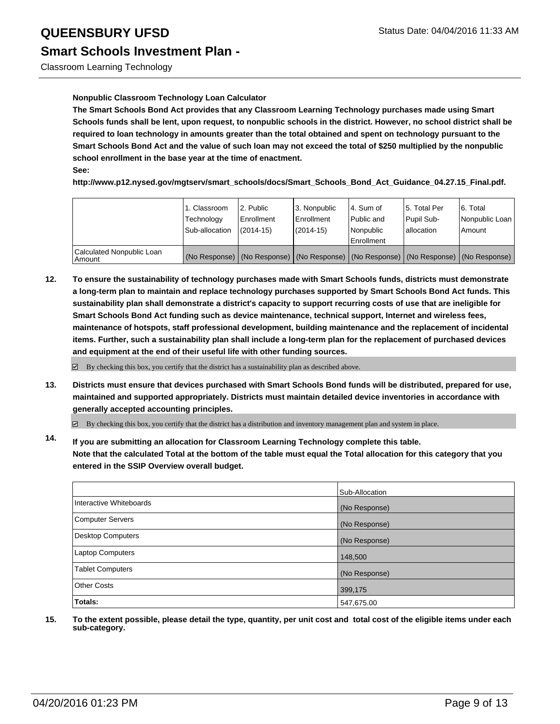### **Nonpublic Classroom Technology Loan Calculator**

**The Smart Schools Bond Act provides that any Classroom Learning Technology purchases made using Smart Schools funds shall be lent, upon request, to nonpublic schools in the district. However, no school district shall be required to loan technology in amounts greater than the total obtained and spent on technology pursuant to the Smart Schools Bond Act and the value of such loan may not exceed the total of \$250 multiplied by the nonpublic school enrollment in the base year at the time of enactment.**

#### **See:**

**http://www.p12.nysed.gov/mgtserv/smart\_schools/docs/Smart\_Schools\_Bond\_Act\_Guidance\_04.27.15\_Final.pdf.**

|                                     | 1. Classroom<br>Technology<br>Sub-allocation | 2. Public<br>Enrollment<br>(2014-15) | 3. Nonpublic<br>l Enrollment<br>$(2014 - 15)$ | l 4. Sum of<br>Public and<br>Nonpublic<br><b>Enrollment</b> | 15. Total Per<br>Pupil Sub-<br>lallocation | 6. Total<br>Nonpublic Loan<br>Amount                                                          |
|-------------------------------------|----------------------------------------------|--------------------------------------|-----------------------------------------------|-------------------------------------------------------------|--------------------------------------------|-----------------------------------------------------------------------------------------------|
| Calculated Nonpublic Loan<br>Amount |                                              |                                      |                                               |                                                             |                                            | (No Response)   (No Response)   (No Response)   (No Response)   (No Response)   (No Response) |

**12. To ensure the sustainability of technology purchases made with Smart Schools funds, districts must demonstrate a long-term plan to maintain and replace technology purchases supported by Smart Schools Bond Act funds. This sustainability plan shall demonstrate a district's capacity to support recurring costs of use that are ineligible for Smart Schools Bond Act funding such as device maintenance, technical support, Internet and wireless fees, maintenance of hotspots, staff professional development, building maintenance and the replacement of incidental items. Further, such a sustainability plan shall include a long-term plan for the replacement of purchased devices and equipment at the end of their useful life with other funding sources.**

 $\boxtimes$  By checking this box, you certify that the district has a sustainability plan as described above.

**13. Districts must ensure that devices purchased with Smart Schools Bond funds will be distributed, prepared for use, maintained and supported appropriately. Districts must maintain detailed device inventories in accordance with generally accepted accounting principles.**

By checking this box, you certify that the district has a distribution and inventory management plan and system in place.

**14. If you are submitting an allocation for Classroom Learning Technology complete this table. Note that the calculated Total at the bottom of the table must equal the Total allocation for this category that you entered in the SSIP Overview overall budget.**

|                          | Sub-Allocation |
|--------------------------|----------------|
| Interactive Whiteboards  | (No Response)  |
| Computer Servers         | (No Response)  |
| <b>Desktop Computers</b> | (No Response)  |
| <b>Laptop Computers</b>  | 148,500        |
| <b>Tablet Computers</b>  | (No Response)  |
| Other Costs              | 399,175        |
| Totals:                  | 547,675.00     |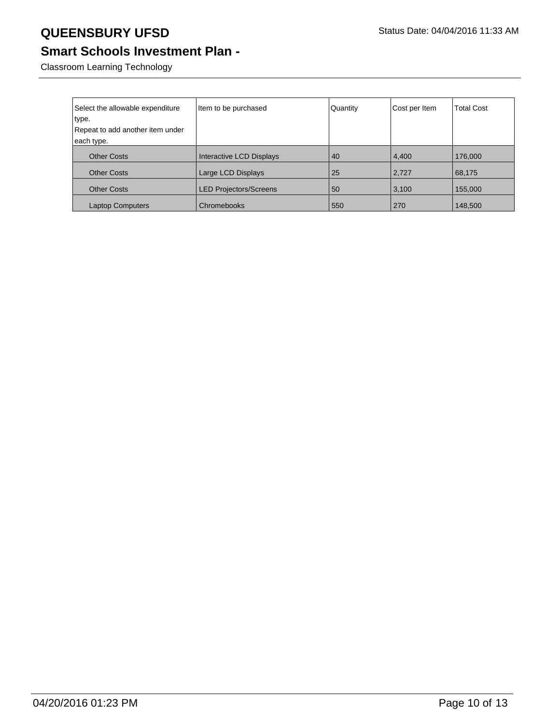## **Smart Schools Investment Plan -**

Classroom Learning Technology

| Select the allowable expenditure | Item to be purchased          | Quantity | Cost per Item | <b>Total Cost</b> |
|----------------------------------|-------------------------------|----------|---------------|-------------------|
| type.                            |                               |          |               |                   |
| Repeat to add another item under |                               |          |               |                   |
| each type.                       |                               |          |               |                   |
| <b>Other Costs</b>               | Interactive LCD Displays      | 40       | 4,400         | 176,000           |
| <b>Other Costs</b>               | Large LCD Displays            | 25       | 2,727         | 68,175            |
| <b>Other Costs</b>               | <b>LED Projectors/Screens</b> | 50       | 3,100         | 155,000           |
| <b>Laptop Computers</b>          | Chromebooks                   | 550      | 270           | 148,500           |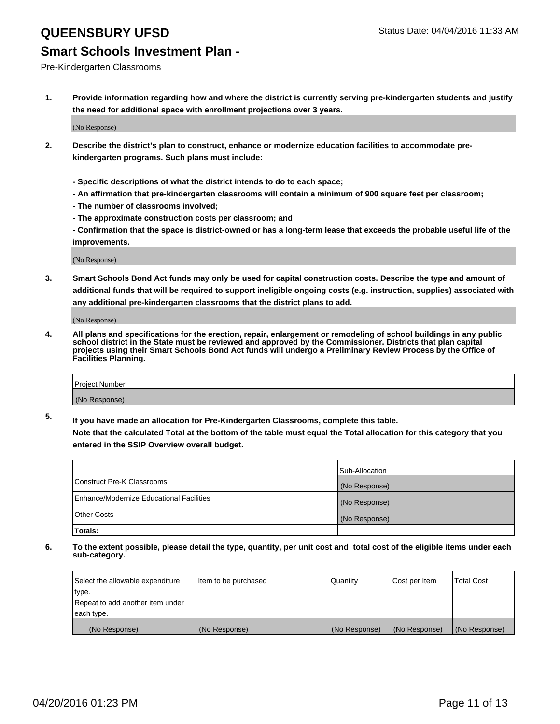#### Pre-Kindergarten Classrooms

**1. Provide information regarding how and where the district is currently serving pre-kindergarten students and justify the need for additional space with enrollment projections over 3 years.**

(No Response)

- **2. Describe the district's plan to construct, enhance or modernize education facilities to accommodate prekindergarten programs. Such plans must include:**
	- **Specific descriptions of what the district intends to do to each space;**
	- **An affirmation that pre-kindergarten classrooms will contain a minimum of 900 square feet per classroom;**
	- **The number of classrooms involved;**
	- **The approximate construction costs per classroom; and**
	- **Confirmation that the space is district-owned or has a long-term lease that exceeds the probable useful life of the improvements.**

(No Response)

**3. Smart Schools Bond Act funds may only be used for capital construction costs. Describe the type and amount of additional funds that will be required to support ineligible ongoing costs (e.g. instruction, supplies) associated with any additional pre-kindergarten classrooms that the district plans to add.**

(No Response)

**4. All plans and specifications for the erection, repair, enlargement or remodeling of school buildings in any public school district in the State must be reviewed and approved by the Commissioner. Districts that plan capital projects using their Smart Schools Bond Act funds will undergo a Preliminary Review Process by the Office of Facilities Planning.**

| Project Number |  |
|----------------|--|
| (No Response)  |  |

**5. If you have made an allocation for Pre-Kindergarten Classrooms, complete this table. Note that the calculated Total at the bottom of the table must equal the Total allocation for this category that you**

**entered in the SSIP Overview overall budget.**

|                                          | Sub-Allocation |
|------------------------------------------|----------------|
| Construct Pre-K Classrooms               | (No Response)  |
| Enhance/Modernize Educational Facilities | (No Response)  |
| Other Costs                              | (No Response)  |
| Totals:                                  |                |

| Select the allowable expenditure | Item to be purchased | Quantity      | Cost per Item | <b>Total Cost</b> |
|----------------------------------|----------------------|---------------|---------------|-------------------|
| type.                            |                      |               |               |                   |
| Repeat to add another item under |                      |               |               |                   |
| each type.                       |                      |               |               |                   |
| (No Response)                    | (No Response)        | (No Response) | (No Response) | (No Response)     |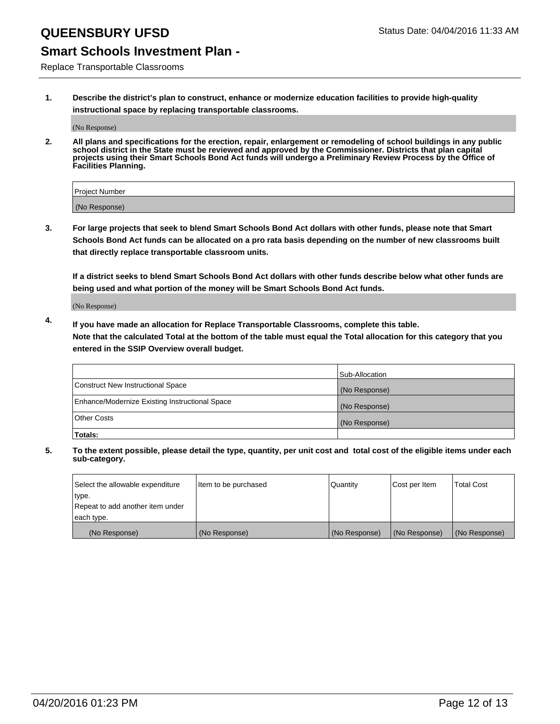### **Smart Schools Investment Plan -**

Replace Transportable Classrooms

**1. Describe the district's plan to construct, enhance or modernize education facilities to provide high-quality instructional space by replacing transportable classrooms.**

(No Response)

**2. All plans and specifications for the erection, repair, enlargement or remodeling of school buildings in any public school district in the State must be reviewed and approved by the Commissioner. Districts that plan capital projects using their Smart Schools Bond Act funds will undergo a Preliminary Review Process by the Office of Facilities Planning.**

| Project Number |  |
|----------------|--|
| (No Response)  |  |

**3. For large projects that seek to blend Smart Schools Bond Act dollars with other funds, please note that Smart Schools Bond Act funds can be allocated on a pro rata basis depending on the number of new classrooms built that directly replace transportable classroom units.**

**If a district seeks to blend Smart Schools Bond Act dollars with other funds describe below what other funds are being used and what portion of the money will be Smart Schools Bond Act funds.**

(No Response)

**4. If you have made an allocation for Replace Transportable Classrooms, complete this table. Note that the calculated Total at the bottom of the table must equal the Total allocation for this category that you entered in the SSIP Overview overall budget.**

|                                                | Sub-Allocation |
|------------------------------------------------|----------------|
| Construct New Instructional Space              | (No Response)  |
| Enhance/Modernize Existing Instructional Space | (No Response)  |
| <b>Other Costs</b>                             | (No Response)  |
| Totals:                                        |                |

| Select the allowable expenditure | Item to be purchased | <b>Quantity</b> | Cost per Item | <b>Total Cost</b> |
|----------------------------------|----------------------|-----------------|---------------|-------------------|
| type.                            |                      |                 |               |                   |
| Repeat to add another item under |                      |                 |               |                   |
| each type.                       |                      |                 |               |                   |
| (No Response)                    | (No Response)        | (No Response)   | (No Response) | (No Response)     |